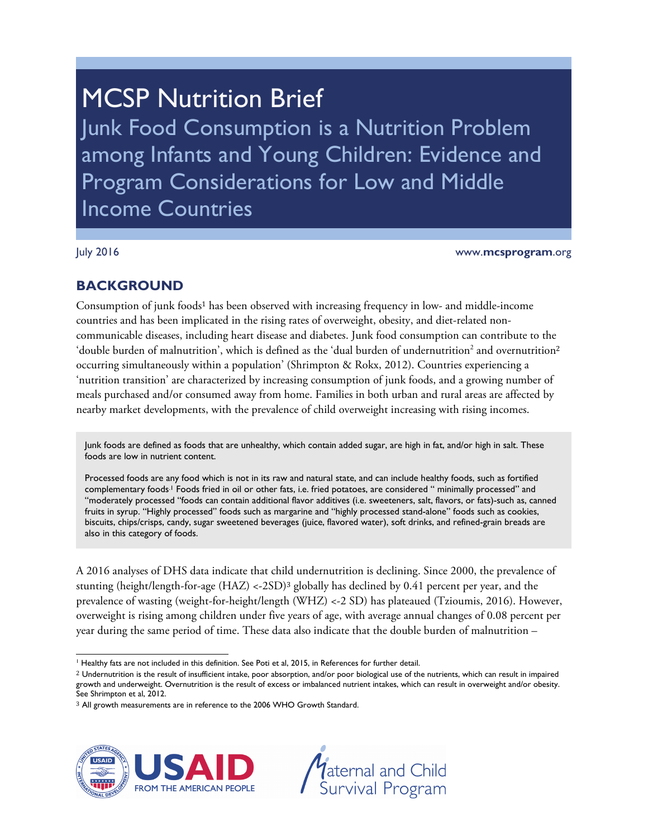# **MCSP Nutrition Brief**

Junk Food Consumption is a Nutrition Problem among Infants and Young Children: Evidence and Program Considerations for Low and Middle Income Countries

July 2016 www.**mcsprogram**.org

# **BACKGROUND**

Consumption of junk foods<sup>1</sup> has been observed with increasing frequency in low- and middle-income countries and has been implicated in the rising rates of overweight, obesity, and diet-related noncommunicable diseases, including heart disease and diabetes. Junk food consumption can contribute to the 'double burden of malnutrition', which is defined as the 'dual burden of undernutrition<sup>2</sup> and overnutrition<sup>2</sup> occurring simultaneously within a population' (Shrimpton & Rokx, 2012). Countries experiencing a 'nutrition transition' are characterized by increasing consumption of junk foods, and a growing number of meals purchased and/or consumed away from home. Families in both urban and rural areas are affected by nearby market developments, with the prevalence of child overweight increasing with rising incomes.

Junk foods are defined as foods that are unhealthy, which contain added sugar, are high in fat, and/or high in salt. These foods are low in nutrient content.

Processed foods are any food which is not in its raw and natural state, and can include healthy foods, such as fortified complementary foods.1 Foods fried in oil or other fats, i.e. fried potatoes, are considered " minimally processed" and "moderately processed "foods can contain additional flavor additives (i.e. sweeteners, salt, flavors, or fats)-such as, canned fruits in syrup. "Highly processed" foods such as margarine and "highly processed stand-alone" foods such as cookies, biscuits, chips/crisps, candy, sugar sweetened beverages (juice, flavored water), soft drinks, and refined-grain breads are also in this category of foods.

A 2016 analyses of DHS data indicate that child undernutrition is declining. Since 2000, the prevalence of stunting (height/length-for-age (HAZ) <-2SD)<sup>3</sup> globally has declined by 0.41 percent per year, and the prevalence of wasting (weight-for-height/length (WHZ) <-2 SD) has plateaued (Tzioumis, 2016). However, overweight is rising among children under five years of age, with average annual changes of 0.08 percent per year during the same period of time. These data also indicate that the double burden of malnutrition –

<sup>&</sup>lt;sup>3</sup> All growth measurements are in reference to the 2006 WHO Growth Standard.





 $\overline{a}$ <sup>1</sup> Healthy fats are not included in this definition. See Poti et al, 2015, in References for further detail.

<sup>&</sup>lt;sup>2</sup> Undernutrition is the result of insufficient intake, poor absorption, and/or poor biological use of the nutrients, which can result in impaired growth and underweight. Overnutrition is the result of excess or imbalanced nutrient intakes, which can result in overweight and/or obesity. See Shrimpton et al, 2012.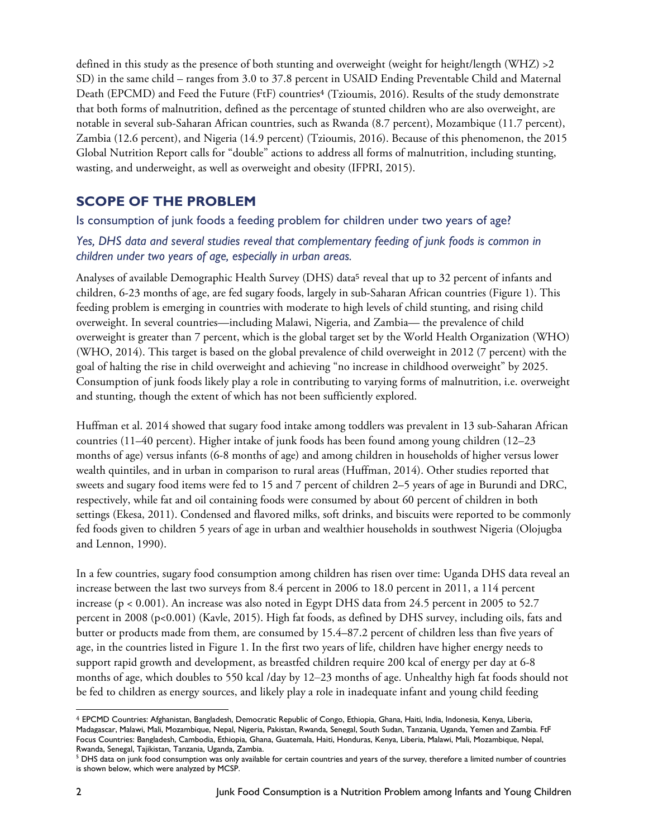defined in this study as the presence of both stunting and overweight (weight for height/length (WHZ) >2 SD) in the same child – ranges from 3.0 to 37.8 percent in USAID Ending Preventable Child and Maternal Death (EPCMD) and Feed the Future (FtF) countries<sup>4</sup> (Tzioumis, 2016). Results of the study demonstrate that both forms of malnutrition, defined as the percentage of stunted children who are also overweight, are notable in several sub-Saharan African countries, such as Rwanda (8.7 percent), Mozambique (11.7 percent), Zambia (12.6 percent), and Nigeria (14.9 percent) (Tzioumis, 2016). Because of this phenomenon, the 2015 Global Nutrition Report calls for "double" actions to address all forms of malnutrition, including stunting, wasting, and underweight, as well as overweight and obesity (IFPRI, 2015).

#### **SCOPE OF THE PROBLEM**

Is consumption of junk foods a feeding problem for children under two years of age?

#### *Yes, DHS data and several studies reveal that complementary feeding of junk foods is common in children under two years of age, especially in urban areas.*

Analyses of available Demographic Health Survey (DHS) data<sup>5</sup> reveal that up to 32 percent of infants and children, 6-23 months of age, are fed sugary foods, largely in sub-Saharan African countries (Figure 1). This feeding problem is emerging in countries with moderate to high levels of child stunting, and rising child overweight. In several countries—including Malawi, Nigeria, and Zambia— the prevalence of child overweight is greater than 7 percent, which is the global target set by the World Health Organization (WHO) (WHO, 2014). This target is based on the global prevalence of child overweight in 2012 (7 percent) with the goal of halting the rise in child overweight and achieving "no increase in childhood overweight" by 2025. Consumption of junk foods likely play a role in contributing to varying forms of malnutrition, i.e. overweight and stunting, though the extent of which has not been sufficiently explored.

Huffman et al. 2014 showed that sugary food intake among toddlers was prevalent in 13 sub-Saharan African countries (11–40 percent). Higher intake of junk foods has been found among young children (12–23 months of age) versus infants (6-8 months of age) and among children in households of higher versus lower wealth quintiles, and in urban in comparison to rural areas (Huffman, 2014). Other studies reported that sweets and sugary food items were fed to 15 and 7 percent of children 2–5 years of age in Burundi and DRC, respectively, while fat and oil containing foods were consumed by about 60 percent of children in both settings (Ekesa, 2011). Condensed and flavored milks, soft drinks, and biscuits were reported to be commonly fed foods given to children 5 years of age in urban and wealthier households in southwest Nigeria (Olojugba and Lennon, 1990).

In a few countries, sugary food consumption among children has risen over time: Uganda DHS data reveal an increase between the last two surveys from 8.4 percent in 2006 to 18.0 percent in 2011, a 114 percent increase (p < 0.001). An increase was also noted in Egypt DHS data from 24.5 percent in 2005 to 52.7 percent in 2008 (p<0.001) (Kavle, 2015). High fat foods, as defined by DHS survey, including oils, fats and butter or products made from them, are consumed by 15.4–87.2 percent of children less than five years of age, in the countries listed in Figure 1. In the first two years of life, children have higher energy needs to support rapid growth and development, as breastfed children require 200 kcal of energy per day at 6-8 months of age, which doubles to 550 kcal /day by 12–23 months of age. Unhealthy high fat foods should not be fed to children as energy sources, and likely play a role in inadequate infant and young child feeding

 $\overline{a}$ 

<sup>4</sup> EPCMD Countries: Afghanistan, Bangladesh, Democratic Republic of Congo, Ethiopia, Ghana, Haiti, India, Indonesia, Kenya, Liberia, Madagascar, Malawi, Mali, Mozambique, Nepal, Nigeria, Pakistan, Rwanda, Senegal, South Sudan, Tanzania, Uganda, Yemen and Zambia. FtF Focus Countries: Bangladesh, Cambodia, Ethiopia, Ghana, Guatemala, Haiti, Honduras, Kenya, Liberia, Malawi, Mali, Mozambique, Nepal, Rwanda, Senegal, Tajikistan, Tanzania, Uganda, Zambia. 5

<sup>&</sup>lt;sup>5</sup> DHS data on junk food consumption was only available for certain countries and years of the survey, therefore a limited number of countries is shown below, which were analyzed by MCSP.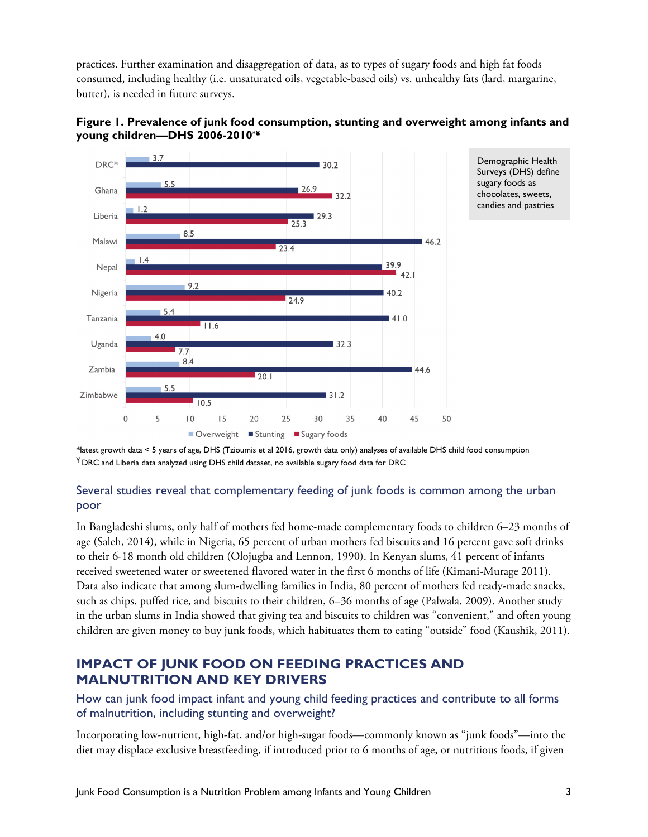practices. Further examination and disaggregation of data, as to types of sugary foods and high fat foods consumed, including healthy (i.e. unsaturated oils, vegetable-based oils) vs. unhealthy fats (lard, margarine, butter), is needed in future surveys.





Demographic Health Surveys (DHS) define sugary foods as chocolates, sweets, candies and pastries

**\***latest growth data < 5 years of age, DHS (Tzioumis et al 2016, growth data only) analyses of available DHS child food consumption ¥ DRC and Liberia data analyzed using DHS child dataset, no available sugary food data for DRC

#### Several studies reveal that complementary feeding of junk foods is common among the urban poor

In Bangladeshi slums, only half of mothers fed home-made complementary foods to children 6–23 months of age (Saleh, 2014), while in Nigeria, 65 percent of urban mothers fed biscuits and 16 percent gave soft drinks to their 6-18 month old children (Olojugba and Lennon, 1990). In Kenyan slums, 41 percent of infants received sweetened water or sweetened flavored water in the first 6 months of life (Kimani-Murage 2011). Data also indicate that among slum-dwelling families in India, 80 percent of mothers fed ready-made snacks, such as chips, puffed rice, and biscuits to their children, 6–36 months of age (Palwala, 2009). Another study in the urban slums in India showed that giving tea and biscuits to children was "convenient," and often young children are given money to buy junk foods, which habituates them to eating "outside" food (Kaushik, 2011).

## **IMPACT OF JUNK FOOD ON FEEDING PRACTICES AND MALNUTRITION AND KEY DRIVERS**

How can junk food impact infant and young child feeding practices and contribute to all forms of malnutrition, including stunting and overweight?

Incorporating low-nutrient, high-fat, and/or high-sugar foods—commonly known as "junk foods"—into the diet may displace exclusive breastfeeding, if introduced prior to 6 months of age, or nutritious foods, if given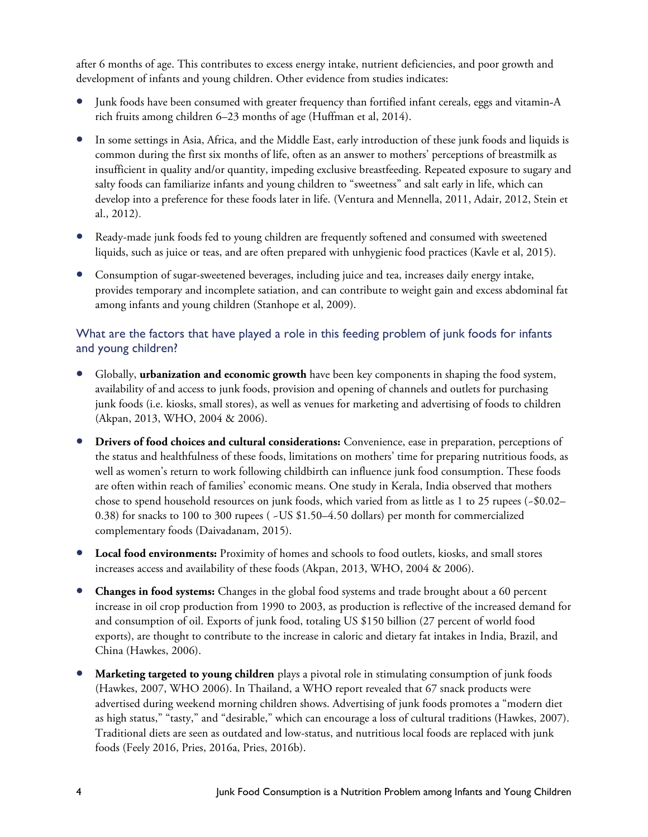after 6 months of age. This contributes to excess energy intake, nutrient deficiencies, and poor growth and development of infants and young children. Other evidence from studies indicates:

- Junk foods have been consumed with greater frequency than fortified infant cereals, eggs and vitamin-A rich fruits among children 6–23 months of age (Huffman et al, 2014).
- In some settings in Asia, Africa, and the Middle East, early introduction of these junk foods and liquids is common during the first six months of life, often as an answer to mothers' perceptions of breastmilk as insufficient in quality and/or quantity, impeding exclusive breastfeeding. Repeated exposure to sugary and salty foods can familiarize infants and young children to "sweetness" and salt early in life, which can develop into a preference for these foods later in life. (Ventura and Mennella, 2011, Adair, 2012, Stein et al., 2012).
- Ready-made junk foods fed to young children are frequently softened and consumed with sweetened liquids, such as juice or teas, and are often prepared with unhygienic food practices (Kavle et al, 2015).
- Consumption of sugar-sweetened beverages, including juice and tea, increases daily energy intake, provides temporary and incomplete satiation, and can contribute to weight gain and excess abdominal fat among infants and young children (Stanhope et al, 2009).

#### What are the factors that have played a role in this feeding problem of junk foods for infants and young children?

- Globally, **urbanization and economic growth** have been key components in shaping the food system, availability of and access to junk foods, provision and opening of channels and outlets for purchasing junk foods (i.e. kiosks, small stores), as well as venues for marketing and advertising of foods to children (Akpan, 2013, WHO, 2004 & 2006).
- **Drivers of food choices and cultural considerations:** Convenience, ease in preparation, perceptions of the status and healthfulness of these foods, limitations on mothers' time for preparing nutritious foods, as well as women's return to work following childbirth can influence junk food consumption. These foods are often within reach of families' economic means. One study in Kerala, India observed that mothers chose to spend household resources on junk foods, which varied from as little as 1 to 25 rupees  $(-1.001)$ 0.38) for snacks to 100 to 300 rupees ( ~US \$1.50–4.50 dollars) per month for commercialized complementary foods (Daivadanam, 2015).
- Local food environments: Proximity of homes and schools to food outlets, kiosks, and small stores increases access and availability of these foods (Akpan, 2013, WHO, 2004 & 2006).
- **Changes in food systems:** Changes in the global food systems and trade brought about a 60 percent increase in oil crop production from 1990 to 2003, as production is reflective of the increased demand for and consumption of oil. Exports of junk food, totaling US \$150 billion (27 percent of world food exports), are thought to contribute to the increase in caloric and dietary fat intakes in India, Brazil, and China (Hawkes, 2006).
- **Marketing targeted to young children** plays a pivotal role in stimulating consumption of junk foods (Hawkes, 2007, WHO 2006). In Thailand, a WHO report revealed that 67 snack products were advertised during weekend morning children shows. Advertising of junk foods promotes a "modern diet as high status," "tasty," and "desirable," which can encourage a loss of cultural traditions (Hawkes, 2007). Traditional diets are seen as outdated and low-status, and nutritious local foods are replaced with junk foods (Feely 2016, Pries, 2016a, Pries, 2016b).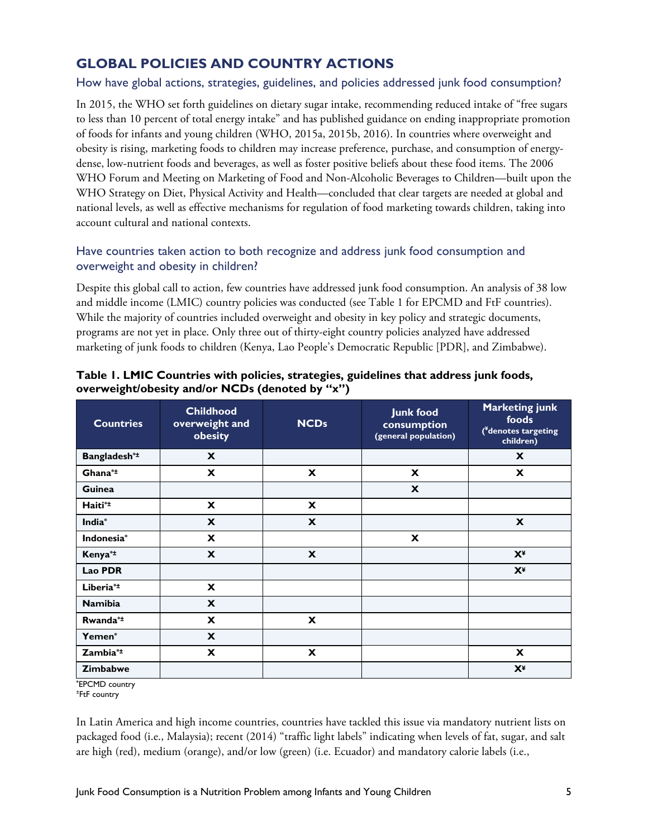## **GLOBAL POLICIES AND COUNTRY ACTIONS**

#### How have global actions, strategies, guidelines, and policies addressed junk food consumption?

In 2015, the WHO set forth guidelines on dietary sugar intake, recommending reduced intake of "free sugars to less than 10 percent of total energy intake" and has published guidance on ending inappropriate promotion of foods for infants and young children (WHO, 2015a, 2015b, 2016). In countries where overweight and obesity is rising, marketing foods to children may increase preference, purchase, and consumption of energydense, low-nutrient foods and beverages, as well as foster positive beliefs about these food items. The 2006 WHO Forum and Meeting on Marketing of Food and Non-Alcoholic Beverages to Children—built upon the WHO Strategy on Diet, Physical Activity and Health—concluded that clear targets are needed at global and national levels, as well as effective mechanisms for regulation of food marketing towards children, taking into account cultural and national contexts.

#### Have countries taken action to both recognize and address junk food consumption and overweight and obesity in children?

Despite this global call to action, few countries have addressed junk food consumption. An analysis of 38 low and middle income (LMIC) country policies was conducted (see Table 1 for EPCMD and FtF countries). While the majority of countries included overweight and obesity in key policy and strategic documents, programs are not yet in place. Only three out of thirty-eight country policies analyzed have addressed marketing of junk foods to children (Kenya, Lao People's Democratic Republic [PDR], and Zimbabwe).

| <b>Countries</b>      | <b>Childhood</b><br>overweight and<br>obesity | <b>NCDs</b>               | <b>Junk food</b><br>consumption<br>(general population) | <b>Marketing junk</b><br>foods<br>(*denotes targeting<br>children) |
|-----------------------|-----------------------------------------------|---------------------------|---------------------------------------------------------|--------------------------------------------------------------------|
| Bangladesh*±          | X                                             |                           |                                                         | X                                                                  |
| Ghana*±               | X                                             | X                         | X                                                       | X                                                                  |
| <b>Guinea</b>         |                                               |                           | $\mathbf{x}$                                            |                                                                    |
| Haiti* <sup>±</sup>   | $\mathbf{x}$                                  | X                         |                                                         |                                                                    |
| India*                | X                                             | X                         |                                                         | $\mathbf{x}$                                                       |
| Indonesia*            | X                                             |                           | $\mathbf{x}$                                            |                                                                    |
| Kenya <sup>*±</sup>   | $\mathbf x$                                   | $\boldsymbol{\mathsf{x}}$ |                                                         | $\mathbf{X}^{\mathbf{\underline{x}}}$                              |
| Lao PDR               |                                               |                           |                                                         | $X^*$                                                              |
| Liberia <sup>*±</sup> | X                                             |                           |                                                         |                                                                    |
| <b>Namibia</b>        | X                                             |                           |                                                         |                                                                    |
| Rwanda*±              | $\mathbf x$                                   | X                         |                                                         |                                                                    |
| Yemen*                | X                                             |                           |                                                         |                                                                    |
| Zambia <sup>*±</sup>  | $\boldsymbol{\mathsf{x}}$                     | $\mathbf x$               |                                                         | $\boldsymbol{\mathsf{x}}$                                          |
| <b>Zimbabwe</b>       |                                               |                           |                                                         | $X^*$                                                              |

#### **Table 1. LMIC Countries with policies, strategies, guidelines that address junk foods, overweight/obesity and/or NCDs (denoted by "x")**

**\*** EPCMD country ± FtF country

In Latin America and high income countries, countries have tackled this issue via mandatory nutrient lists on packaged food (i.e., Malaysia); recent (2014) "traffic light labels" indicating when levels of fat, sugar, and salt are high (red), medium (orange), and/or low (green) (i.e. Ecuador) and mandatory calorie labels (i.e.,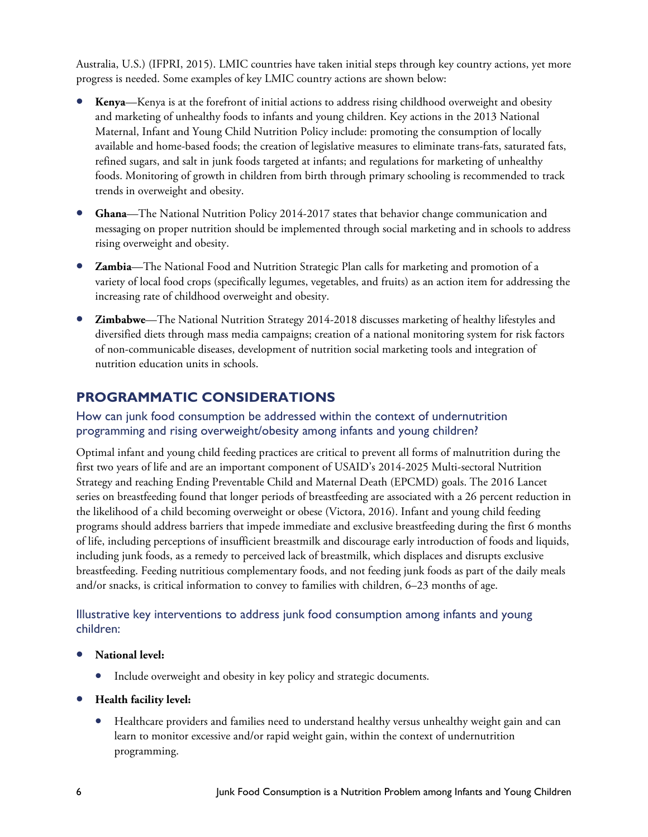Australia, U.S.) (IFPRI, 2015). LMIC countries have taken initial steps through key country actions, yet more progress is needed. Some examples of key LMIC country actions are shown below:

- **Kenya**—Kenya is at the forefront of initial actions to address rising childhood overweight and obesity and marketing of unhealthy foods to infants and young children. Key actions in the 2013 National Maternal, Infant and Young Child Nutrition Policy include: promoting the consumption of locally available and home-based foods; the creation of legislative measures to eliminate trans-fats, saturated fats, refined sugars, and salt in junk foods targeted at infants; and regulations for marketing of unhealthy foods. Monitoring of growth in children from birth through primary schooling is recommended to track trends in overweight and obesity.
- **Ghana**—The National Nutrition Policy 2014-2017 states that behavior change communication and messaging on proper nutrition should be implemented through social marketing and in schools to address rising overweight and obesity.
- **Zambia**—The National Food and Nutrition Strategic Plan calls for marketing and promotion of a variety of local food crops (specifically legumes, vegetables, and fruits) as an action item for addressing the increasing rate of childhood overweight and obesity.
- **Zimbabwe**—The National Nutrition Strategy 2014-2018 discusses marketing of healthy lifestyles and diversified diets through mass media campaigns; creation of a national monitoring system for risk factors of non-communicable diseases, development of nutrition social marketing tools and integration of nutrition education units in schools.

## **PROGRAMMATIC CONSIDERATIONS**

#### How can junk food consumption be addressed within the context of undernutrition programming and rising overweight/obesity among infants and young children?

Optimal infant and young child feeding practices are critical to prevent all forms of malnutrition during the first two years of life and are an important component of USAID's 2014-2025 Multi-sectoral Nutrition Strategy and reaching Ending Preventable Child and Maternal Death (EPCMD) goals. The 2016 Lancet series on breastfeeding found that longer periods of breastfeeding are associated with a 26 percent reduction in the likelihood of a child becoming overweight or obese (Victora, 2016). Infant and young child feeding programs should address barriers that impede immediate and exclusive breastfeeding during the first 6 months of life, including perceptions of insufficient breastmilk and discourage early introduction of foods and liquids, including junk foods, as a remedy to perceived lack of breastmilk, which displaces and disrupts exclusive breastfeeding. Feeding nutritious complementary foods, and not feeding junk foods as part of the daily meals and/or snacks, is critical information to convey to families with children, 6–23 months of age.

#### Illustrative key interventions to address junk food consumption among infants and young children:

#### • **National level:**

- Include overweight and obesity in key policy and strategic documents.
- **Health facility level:** 
	- Healthcare providers and families need to understand healthy versus unhealthy weight gain and can learn to monitor excessive and/or rapid weight gain, within the context of undernutrition programming.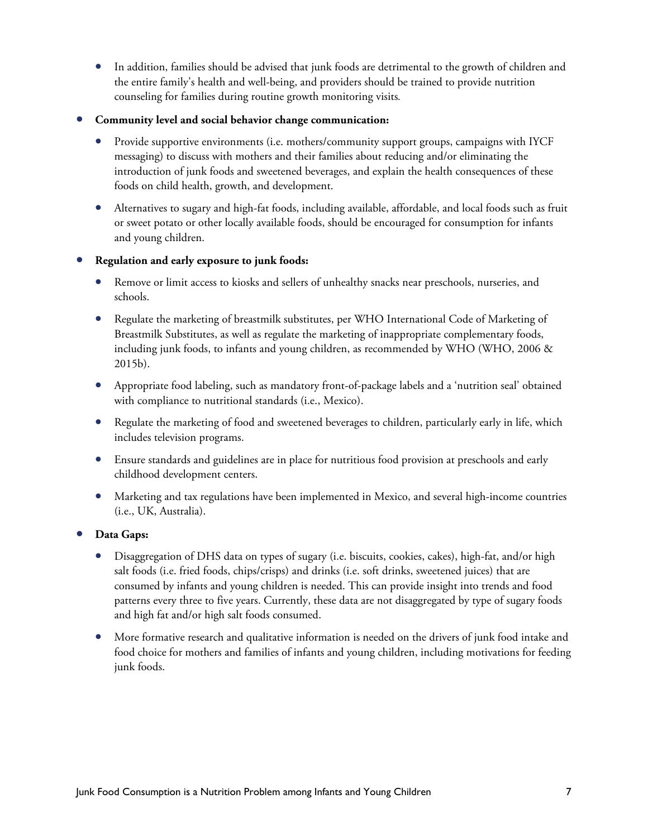- In addition, families should be advised that junk foods are detrimental to the growth of children and the entire family's health and well-being, and providers should be trained to provide nutrition counseling for families during routine growth monitoring visits*.*
- **Community level and social behavior change communication:** 
	- Provide supportive environments (i.e. mothers/community support groups, campaigns with IYCF messaging) to discuss with mothers and their families about reducing and/or eliminating the introduction of junk foods and sweetened beverages, and explain the health consequences of these foods on child health, growth, and development.
	- Alternatives to sugary and high-fat foods, including available, affordable, and local foods such as fruit or sweet potato or other locally available foods, should be encouraged for consumption for infants and young children.
- **Regulation and early exposure to junk foods:** 
	- Remove or limit access to kiosks and sellers of unhealthy snacks near preschools, nurseries, and schools.
	- Regulate the marketing of breastmilk substitutes, per WHO International Code of Marketing of Breastmilk Substitutes, as well as regulate the marketing of inappropriate complementary foods, including junk foods, to infants and young children, as recommended by WHO (WHO, 2006 & 2015b).
	- Appropriate food labeling, such as mandatory front-of-package labels and a 'nutrition seal' obtained with compliance to nutritional standards (i.e., Mexico).
	- Regulate the marketing of food and sweetened beverages to children, particularly early in life, which includes television programs.
	- Ensure standards and guidelines are in place for nutritious food provision at preschools and early childhood development centers.
	- Marketing and tax regulations have been implemented in Mexico, and several high-income countries (i.e., UK, Australia).
- **Data Gaps:** 
	- Disaggregation of DHS data on types of sugary (i.e. biscuits, cookies, cakes), high-fat, and/or high salt foods (i.e. fried foods, chips/crisps) and drinks (i.e. soft drinks, sweetened juices) that are consumed by infants and young children is needed. This can provide insight into trends and food patterns every three to five years. Currently, these data are not disaggregated by type of sugary foods and high fat and/or high salt foods consumed.
	- More formative research and qualitative information is needed on the drivers of junk food intake and food choice for mothers and families of infants and young children, including motivations for feeding junk foods.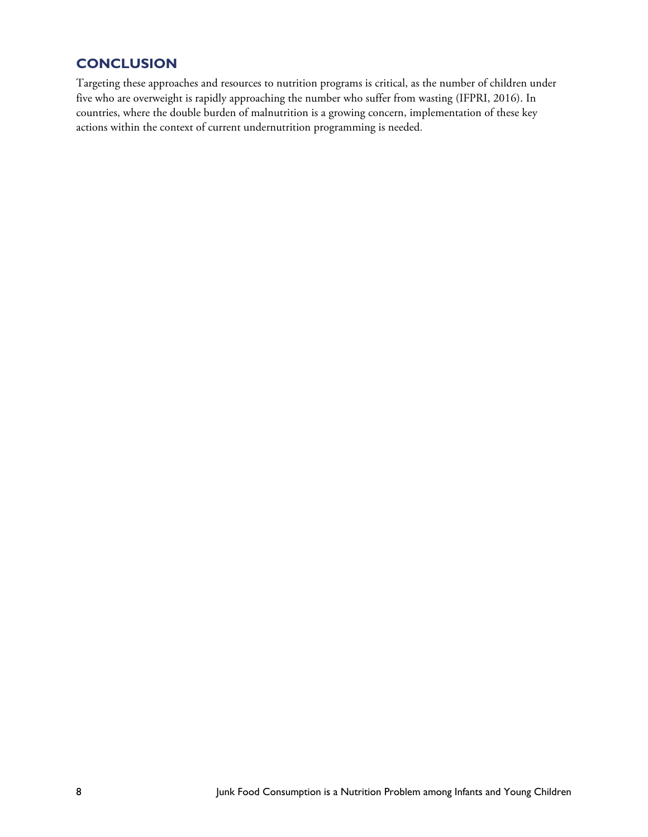## **CONCLUSION**

Targeting these approaches and resources to nutrition programs is critical, as the number of children under five who are overweight is rapidly approaching the number who suffer from wasting (IFPRI, 2016). In countries, where the double burden of malnutrition is a growing concern, implementation of these key actions within the context of current undernutrition programming is needed.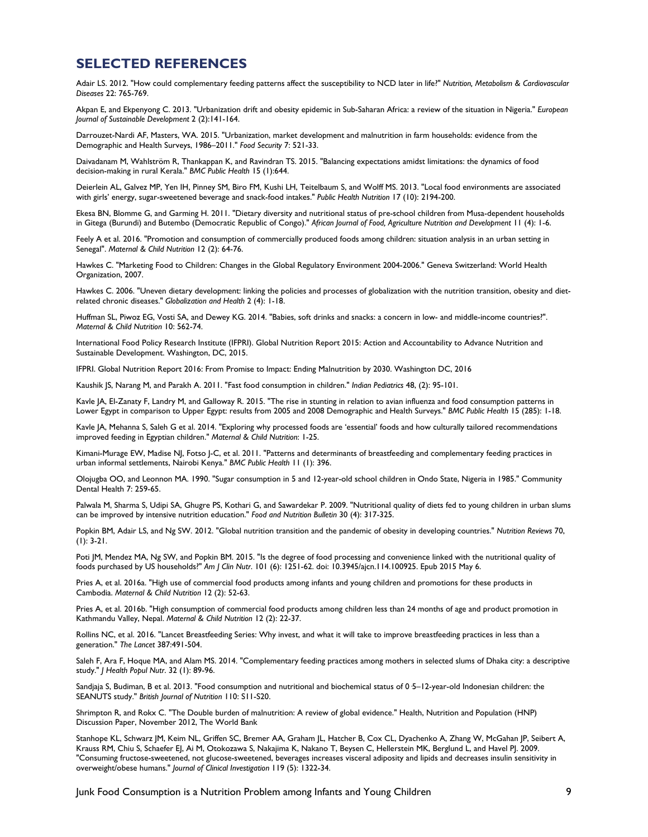#### **SELECTED REFERENCES**

Adair LS. 2012. "How could complementary feeding patterns affect the susceptibility to NCD later in life?" *Nutrition, Metabolism & Cardiovascular Diseases* 22: 765-769.

Akpan E, and Ekpenyong C. 2013. "Urbanization drift and obesity epidemic in Sub-Saharan Africa: a review of the situation in Nigeria." *European Journal of Sustainable Development* 2 (2):141-164.

Darrouzet-Nardi AF, Masters, WA. 2015. "Urbanization, market development and malnutrition in farm households: evidence from the Demographic and Health Surveys, 1986–2011." *Food Security* 7: 521-33.

Daivadanam M, Wahlström R, Thankappan K, and Ravindran TS. 2015. "Balancing expectations amidst limitations: the dynamics of food decision-making in rural Kerala." *BMC Public Health* 15 (1):644.

Deierlein AL, Galvez MP, Yen IH, Pinney SM, Biro FM, Kushi LH, Teitelbaum S, and Wolff MS. 2013. "Local food environments are associated with girls' energy, sugar-sweetened beverage and snack-food intakes." *Public Health Nutrition* 17 (10): 2194-200.

Ekesa BN, Blomme G, and Garming H. 2011. "Dietary diversity and nutritional status of pre-school children from Musa-dependent households in Gitega (Burundi) and Butembo (Democratic Republic of Congo)." *African Journal of Food, Agriculture Nutrition and Development* 11 (4): 1-6.

Feely A et al. 2016. "Promotion and consumption of commercially produced foods among children: situation analysis in an urban setting in Senegal". *Maternal & Child Nutrition* 12 (2): 64-76.

Hawkes C. "Marketing Food to Children: Changes in the Global Regulatory Environment 2004-2006." Geneva Switzerland: World Health Organization, 2007.

Hawkes C. 2006. "Uneven dietary development: linking the policies and processes of globalization with the nutrition transition, obesity and dietrelated chronic diseases." *Globalization and Health* 2 (4): 1-18.

Huffman SL, Piwoz EG, Vosti SA, and Dewey KG. 2014. "Babies, soft drinks and snacks: a concern in low- and middle-income countries?". *Maternal & Child Nutrition* 10: 562-74.

International Food Policy Research Institute (IFPRI). Global Nutrition Report 2015: Action and Accountability to Advance Nutrition and Sustainable Development. Washington, DC, 2015.

IFPRI. Global Nutrition Report 2016: From Promise to Impact: Ending Malnutrition by 2030. Washington DC, 2016

Kaushik JS, Narang M, and Parakh A. 2011. "Fast food consumption in children." *Indian Pediatrics* 48, (2): 95-101.

Kavle JA, El-Zanaty F, Landry M, and Galloway R. 2015. "The rise in stunting in relation to avian influenza and food consumption patterns in Lower Egypt in comparison to Upper Egypt: results from 2005 and 2008 Demographic and Health Surveys." *BMC Public Health* 15 (285): 1-18.

Kavle JA, Mehanna S, Saleh G et al. 2014. "Exploring why processed foods are 'essential' foods and how culturally tailored recommendations improved feeding in Egyptian children." *Maternal & Child Nutrition*: 1-25.

Kimani-Murage EW, Madise NJ, Fotso J-C, et al. 2011. "Patterns and determinants of breastfeeding and complementary feeding practices in urban informal settlements, Nairobi Kenya." *BMC Public Health* 11 (1): 396.

Olojugba OO, and Leonnon MA. 1990. "Sugar consumption in 5 and 12-year-old school children in Ondo State, Nigeria in 1985." Community Dental Health 7: 259-65.

Palwala M, Sharma S, Udipi SA, Ghugre PS, Kothari G, and Sawardekar P. 2009. "Nutritional quality of diets fed to young children in urban slums can be improved by intensive nutrition education." *Food and Nutrition Bulletin* 30 (4): 317-325.

Popkin BM, Adair LS, and Ng SW. 2012. "Global nutrition transition and the pandemic of obesity in developing countries." *Nutrition Reviews* 70, (1): 3-21.

Poti JM, Mendez MA, Ng SW, and Popkin BM. 2015. "Is the degree of food processing and convenience linked with the nutritional quality of foods purchased by US households?" *Am J Clin Nutr*. 101 (6): 1251-62. doi: 10.3945/ajcn.114.100925. Epub 2015 May 6.

Pries A, et al. 2016a. "High use of commercial food products among infants and young children and promotions for these products in Cambodia. *Maternal & Child Nutrition* 12 (2): 52-63.

Pries A, et al. 2016b. "High consumption of commercial food products among children less than 24 months of age and product promotion in Kathmandu Valley, Nepal. *Maternal & Child Nutrition* 12 (2): 22-37.

Rollins NC, et al. 2016. "Lancet Breastfeeding Series: Why invest, and what it will take to improve breastfeeding practices in less than a generation." *The Lancet* 387:491-504.

Saleh F, Ara F, Hoque MA, and Alam MS. 2014. "Complementary feeding practices among mothers in selected slums of Dhaka city: a descriptive study." *J Health Popul Nutr*. 32 (1): 89-96.

Sandjaja S, Budiman, B et al. 2013. "Food consumption and nutritional and biochemical status of 0.5–12-year-old Indonesian children: the SEANUTS study." *British Journal of Nutrition* 110: S11-S20.

Shrimpton R, and Rokx C. "The Double burden of malnutrition: A review of global evidence." Health, Nutrition and Population (HNP) Discussion Paper, November 2012, The World Bank

Stanhope KL, Schwarz JM, Keim NL, Griffen SC, Bremer AA, Graham JL, Hatcher B, Cox CL, Dyachenko A, Zhang W, McGahan JP, Seibert A, Krauss RM, Chiu S, Schaefer EJ, Ai M, Otokozawa S, Nakajima K, Nakano T, Beysen C, Hellerstein MK, Berglund L, and Havel PJ. 2009. "Consuming fructose-sweetened, not glucose-sweetened, beverages increases visceral adiposity and lipids and decreases insulin sensitivity in overweight/obese humans." *Journal of Clinical Investigation* 119 (5): 1322-34.

Junk Food Consumption is a Nutrition Problem among Infants and Young Children 9